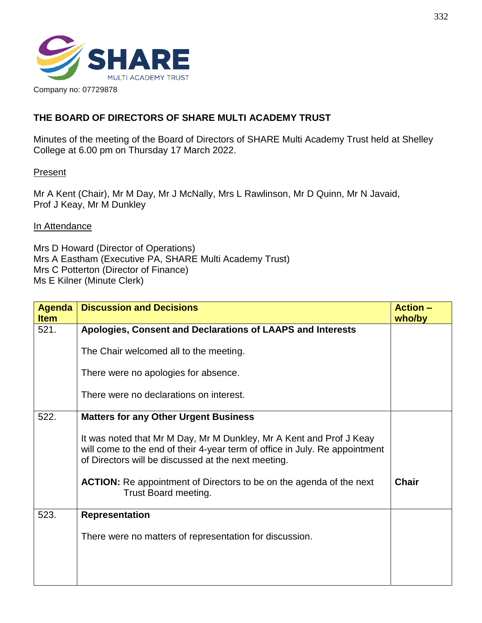

## **THE BOARD OF DIRECTORS OF SHARE MULTI ACADEMY TRUST**

Minutes of the meeting of the Board of Directors of SHARE Multi Academy Trust held at Shelley College at 6.00 pm on Thursday 17 March 2022.

## **Present**

Mr A Kent (Chair), Mr M Day, Mr J McNally, Mrs L Rawlinson, Mr D Quinn, Mr N Javaid, Prof J Keay, Mr M Dunkley

## In Attendance

Mrs D Howard (Director of Operations) Mrs A Eastham (Executive PA, SHARE Multi Academy Trust) Mrs C Potterton (Director of Finance) Ms E Kilner (Minute Clerk)

| <b>Agenda</b><br><b>Item</b> | <b>Discussion and Decisions</b>                                                                                                                                                                           | <b>Action -</b><br>who/by |
|------------------------------|-----------------------------------------------------------------------------------------------------------------------------------------------------------------------------------------------------------|---------------------------|
| 521.                         | Apologies, Consent and Declarations of LAAPS and Interests                                                                                                                                                |                           |
|                              | The Chair welcomed all to the meeting.                                                                                                                                                                    |                           |
|                              | There were no apologies for absence.                                                                                                                                                                      |                           |
|                              | There were no declarations on interest.                                                                                                                                                                   |                           |
| 522.                         | <b>Matters for any Other Urgent Business</b>                                                                                                                                                              |                           |
|                              | It was noted that Mr M Day, Mr M Dunkley, Mr A Kent and Prof J Keay<br>will come to the end of their 4-year term of office in July. Re appointment<br>of Directors will be discussed at the next meeting. |                           |
|                              | <b>ACTION:</b> Re appointment of Directors to be on the agenda of the next<br>Trust Board meeting.                                                                                                        | <b>Chair</b>              |
| 523.                         | <b>Representation</b>                                                                                                                                                                                     |                           |
|                              | There were no matters of representation for discussion.                                                                                                                                                   |                           |
|                              |                                                                                                                                                                                                           |                           |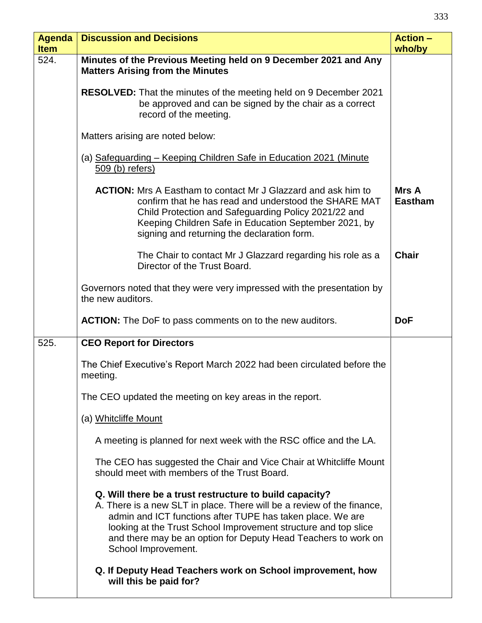| <b>Agenda</b><br><b>Item</b> | <b>Discussion and Decisions</b>                                                                                                                                                                                                                                                                                                                             | <b>Action -</b><br>who/by |
|------------------------------|-------------------------------------------------------------------------------------------------------------------------------------------------------------------------------------------------------------------------------------------------------------------------------------------------------------------------------------------------------------|---------------------------|
| 524.                         | Minutes of the Previous Meeting held on 9 December 2021 and Any<br><b>Matters Arising from the Minutes</b>                                                                                                                                                                                                                                                  |                           |
|                              | <b>RESOLVED:</b> That the minutes of the meeting held on 9 December 2021<br>be approved and can be signed by the chair as a correct<br>record of the meeting.                                                                                                                                                                                               |                           |
|                              | Matters arising are noted below:                                                                                                                                                                                                                                                                                                                            |                           |
|                              | (a) Safeguarding – Keeping Children Safe in Education 2021 (Minute<br>$509$ (b) refers)                                                                                                                                                                                                                                                                     |                           |
|                              | <b>ACTION:</b> Mrs A Eastham to contact Mr J Glazzard and ask him to<br>confirm that he has read and understood the SHARE MAT<br>Child Protection and Safeguarding Policy 2021/22 and<br>Keeping Children Safe in Education September 2021, by<br>signing and returning the declaration form.                                                               | Mrs A<br><b>Eastham</b>   |
|                              | The Chair to contact Mr J Glazzard regarding his role as a<br>Director of the Trust Board.                                                                                                                                                                                                                                                                  | <b>Chair</b>              |
|                              | Governors noted that they were very impressed with the presentation by<br>the new auditors.                                                                                                                                                                                                                                                                 |                           |
|                              | <b>ACTION:</b> The DoF to pass comments on to the new auditors.                                                                                                                                                                                                                                                                                             | <b>DoF</b>                |
| 525.                         | <b>CEO Report for Directors</b>                                                                                                                                                                                                                                                                                                                             |                           |
|                              | The Chief Executive's Report March 2022 had been circulated before the<br>meeting.                                                                                                                                                                                                                                                                          |                           |
|                              | The CEO updated the meeting on key areas in the report.                                                                                                                                                                                                                                                                                                     |                           |
|                              | (a) Whitcliffe Mount                                                                                                                                                                                                                                                                                                                                        |                           |
|                              | A meeting is planned for next week with the RSC office and the LA.                                                                                                                                                                                                                                                                                          |                           |
|                              | The CEO has suggested the Chair and Vice Chair at Whitcliffe Mount<br>should meet with members of the Trust Board.                                                                                                                                                                                                                                          |                           |
|                              | Q. Will there be a trust restructure to build capacity?<br>A. There is a new SLT in place. There will be a review of the finance,<br>admin and ICT functions after TUPE has taken place. We are<br>looking at the Trust School Improvement structure and top slice<br>and there may be an option for Deputy Head Teachers to work on<br>School Improvement. |                           |
|                              | Q. If Deputy Head Teachers work on School improvement, how<br>will this be paid for?                                                                                                                                                                                                                                                                        |                           |

333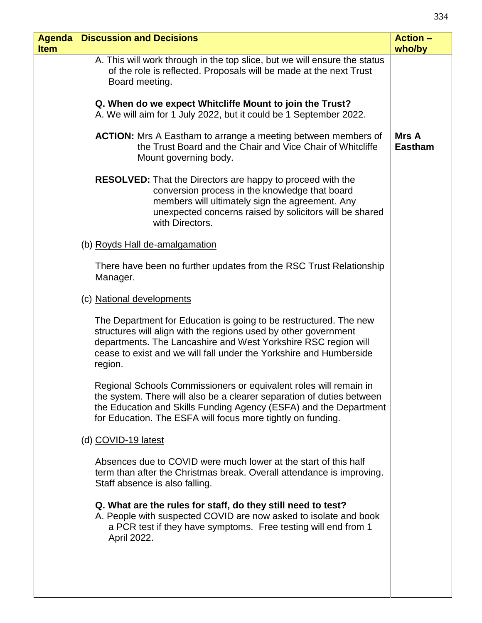| <b>Agenda</b> | <b>Discussion and Decisions</b>                                                                                                                                                                                                                                                         | <b>Action -</b>         |
|---------------|-----------------------------------------------------------------------------------------------------------------------------------------------------------------------------------------------------------------------------------------------------------------------------------------|-------------------------|
| <b>Item</b>   | A. This will work through in the top slice, but we will ensure the status<br>of the role is reflected. Proposals will be made at the next Trust<br>Board meeting.                                                                                                                       | who/by                  |
|               | Q. When do we expect Whitcliffe Mount to join the Trust?<br>A. We will aim for 1 July 2022, but it could be 1 September 2022.                                                                                                                                                           |                         |
|               | <b>ACTION:</b> Mrs A Eastham to arrange a meeting between members of<br>the Trust Board and the Chair and Vice Chair of Whitcliffe<br>Mount governing body.                                                                                                                             | Mrs A<br><b>Eastham</b> |
|               | <b>RESOLVED:</b> That the Directors are happy to proceed with the<br>conversion process in the knowledge that board<br>members will ultimately sign the agreement. Any<br>unexpected concerns raised by solicitors will be shared<br>with Directors.                                    |                         |
|               | (b) Royds Hall de-amalgamation                                                                                                                                                                                                                                                          |                         |
|               | There have been no further updates from the RSC Trust Relationship<br>Manager.                                                                                                                                                                                                          |                         |
|               | (c) National developments                                                                                                                                                                                                                                                               |                         |
|               | The Department for Education is going to be restructured. The new<br>structures will align with the regions used by other government<br>departments. The Lancashire and West Yorkshire RSC region will<br>cease to exist and we will fall under the Yorkshire and Humberside<br>region. |                         |
|               | Regional Schools Commissioners or equivalent roles will remain in<br>the system. There will also be a clearer separation of duties between<br>the Education and Skills Funding Agency (ESFA) and the Department<br>for Education. The ESFA will focus more tightly on funding.          |                         |
|               | (d) COVID-19 latest                                                                                                                                                                                                                                                                     |                         |
|               | Absences due to COVID were much lower at the start of this half<br>term than after the Christmas break. Overall attendance is improving.<br>Staff absence is also falling.                                                                                                              |                         |
|               | Q. What are the rules for staff, do they still need to test?<br>A. People with suspected COVID are now asked to isolate and book<br>a PCR test if they have symptoms. Free testing will end from 1<br>April 2022.                                                                       |                         |
|               |                                                                                                                                                                                                                                                                                         |                         |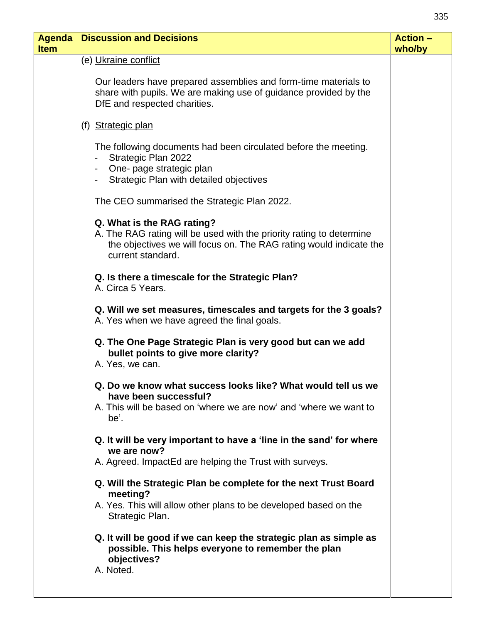| <b>Agenda</b> | <b>Discussion and Decisions</b>                                                                                                                                                               | <b>Action -</b> |
|---------------|-----------------------------------------------------------------------------------------------------------------------------------------------------------------------------------------------|-----------------|
| <b>Item</b>   |                                                                                                                                                                                               | who/by          |
|               | (e) Ukraine conflict                                                                                                                                                                          |                 |
|               | Our leaders have prepared assemblies and form-time materials to<br>share with pupils. We are making use of guidance provided by the<br>DfE and respected charities.                           |                 |
|               | (f) Strategic plan                                                                                                                                                                            |                 |
|               | The following documents had been circulated before the meeting.<br>Strategic Plan 2022<br>- One- page strategic plan<br>Strategic Plan with detailed objectives                               |                 |
|               | The CEO summarised the Strategic Plan 2022.                                                                                                                                                   |                 |
|               | Q. What is the RAG rating?<br>A. The RAG rating will be used with the priority rating to determine<br>the objectives we will focus on. The RAG rating would indicate the<br>current standard. |                 |
|               | Q. Is there a timescale for the Strategic Plan?<br>A. Circa 5 Years.                                                                                                                          |                 |
|               | Q. Will we set measures, timescales and targets for the 3 goals?<br>A. Yes when we have agreed the final goals.                                                                               |                 |
|               | Q. The One Page Strategic Plan is very good but can we add<br>bullet points to give more clarity?<br>A. Yes, we can.                                                                          |                 |
|               | Q. Do we know what success looks like? What would tell us we<br>have been successful?<br>A. This will be based on 'where we are now' and 'where we want to<br>be'.                            |                 |
|               | Q. It will be very important to have a 'line in the sand' for where<br>we are now?                                                                                                            |                 |
|               | A. Agreed. ImpactEd are helping the Trust with surveys.                                                                                                                                       |                 |
|               | Q. Will the Strategic Plan be complete for the next Trust Board<br>meeting?<br>A. Yes. This will allow other plans to be developed based on the<br>Strategic Plan.                            |                 |
|               | Q. It will be good if we can keep the strategic plan as simple as<br>possible. This helps everyone to remember the plan<br>objectives?<br>A. Noted.                                           |                 |
|               |                                                                                                                                                                                               |                 |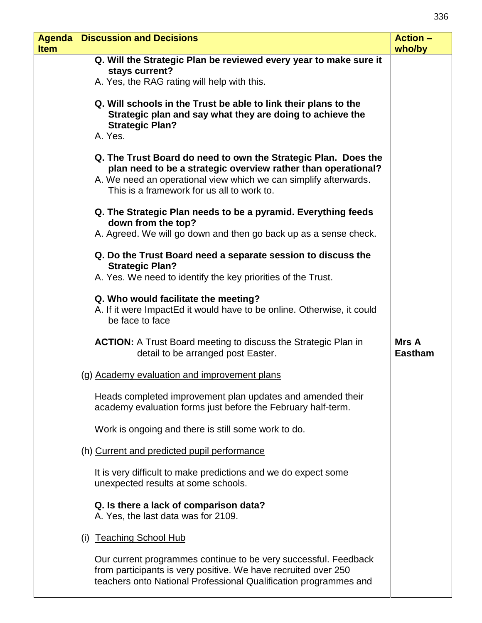| <b>Agenda</b><br><b>Item</b> | <b>Discussion and Decisions</b>                                                                                                                                                                                                                   | <b>Action -</b><br>who/by      |
|------------------------------|---------------------------------------------------------------------------------------------------------------------------------------------------------------------------------------------------------------------------------------------------|--------------------------------|
|                              | Q. Will the Strategic Plan be reviewed every year to make sure it<br>stays current?<br>A. Yes, the RAG rating will help with this.                                                                                                                |                                |
|                              | Q. Will schools in the Trust be able to link their plans to the<br>Strategic plan and say what they are doing to achieve the<br><b>Strategic Plan?</b><br>A. Yes.                                                                                 |                                |
|                              | Q. The Trust Board do need to own the Strategic Plan. Does the<br>plan need to be a strategic overview rather than operational?<br>A. We need an operational view which we can simplify afterwards.<br>This is a framework for us all to work to. |                                |
|                              | Q. The Strategic Plan needs to be a pyramid. Everything feeds<br>down from the top?<br>A. Agreed. We will go down and then go back up as a sense check.                                                                                           |                                |
|                              | Q. Do the Trust Board need a separate session to discuss the<br><b>Strategic Plan?</b><br>A. Yes. We need to identify the key priorities of the Trust.                                                                                            |                                |
|                              | Q. Who would facilitate the meeting?<br>A. If it were ImpactEd it would have to be online. Otherwise, it could<br>be face to face                                                                                                                 |                                |
|                              | <b>ACTION:</b> A Trust Board meeting to discuss the Strategic Plan in<br>detail to be arranged post Easter.                                                                                                                                       | <b>Mrs A</b><br><b>Eastham</b> |
|                              | (g) Academy evaluation and improvement plans                                                                                                                                                                                                      |                                |
|                              | Heads completed improvement plan updates and amended their<br>academy evaluation forms just before the February half-term.                                                                                                                        |                                |
|                              | Work is ongoing and there is still some work to do.                                                                                                                                                                                               |                                |
|                              | (h) Current and predicted pupil performance                                                                                                                                                                                                       |                                |
|                              | It is very difficult to make predictions and we do expect some<br>unexpected results at some schools.                                                                                                                                             |                                |
|                              | Q. Is there a lack of comparison data?<br>A. Yes, the last data was for 2109.                                                                                                                                                                     |                                |
|                              | <b>Teaching School Hub</b><br>(i)                                                                                                                                                                                                                 |                                |
|                              | Our current programmes continue to be very successful. Feedback<br>from participants is very positive. We have recruited over 250<br>teachers onto National Professional Qualification programmes and                                             |                                |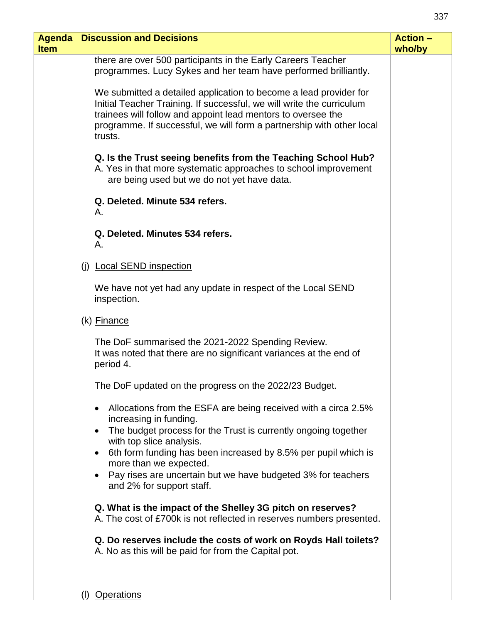| <b>Agenda</b><br><b>Item</b> | <b>Discussion and Decisions</b>                                                                                                                                                                                                                                                                | <b>Action -</b><br>who/by |
|------------------------------|------------------------------------------------------------------------------------------------------------------------------------------------------------------------------------------------------------------------------------------------------------------------------------------------|---------------------------|
|                              | there are over 500 participants in the Early Careers Teacher<br>programmes. Lucy Sykes and her team have performed brilliantly.                                                                                                                                                                |                           |
|                              | We submitted a detailed application to become a lead provider for<br>Initial Teacher Training. If successful, we will write the curriculum<br>trainees will follow and appoint lead mentors to oversee the<br>programme. If successful, we will form a partnership with other local<br>trusts. |                           |
|                              | Q. Is the Trust seeing benefits from the Teaching School Hub?<br>A. Yes in that more systematic approaches to school improvement<br>are being used but we do not yet have data.                                                                                                                |                           |
|                              | Q. Deleted. Minute 534 refers.<br>Α.                                                                                                                                                                                                                                                           |                           |
|                              | Q. Deleted. Minutes 534 refers.<br>Α.                                                                                                                                                                                                                                                          |                           |
|                              | (j) Local SEND inspection                                                                                                                                                                                                                                                                      |                           |
|                              | We have not yet had any update in respect of the Local SEND<br>inspection.                                                                                                                                                                                                                     |                           |
|                              | (k) Finance                                                                                                                                                                                                                                                                                    |                           |
|                              | The DoF summarised the 2021-2022 Spending Review.<br>It was noted that there are no significant variances at the end of<br>period 4.                                                                                                                                                           |                           |
|                              | The DoF updated on the progress on the 2022/23 Budget.                                                                                                                                                                                                                                         |                           |
|                              | Allocations from the ESFA are being received with a circa 2.5%<br>increasing in funding.<br>The budget process for the Trust is currently ongoing together<br>with top slice analysis.                                                                                                         |                           |
|                              | 6th form funding has been increased by 8.5% per pupil which is<br>$\bullet$<br>more than we expected.<br>Pay rises are uncertain but we have budgeted 3% for teachers<br>and 2% for support staff.                                                                                             |                           |
|                              | Q. What is the impact of the Shelley 3G pitch on reserves?<br>A. The cost of £700k is not reflected in reserves numbers presented.                                                                                                                                                             |                           |
|                              | Q. Do reserves include the costs of work on Royds Hall toilets?<br>A. No as this will be paid for from the Capital pot.                                                                                                                                                                        |                           |
|                              | (I) Operations                                                                                                                                                                                                                                                                                 |                           |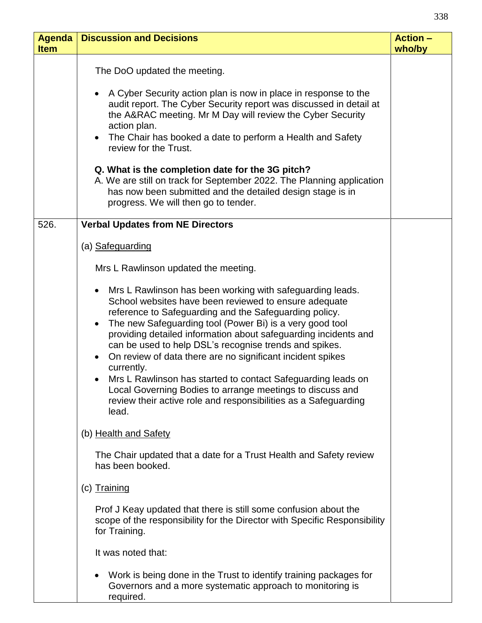| <b>Agenda</b><br><b>Item</b> | <b>Discussion and Decisions</b>                                                                                                                                                                                                                                                                                                                                                                                                                                                                                                                                                            | <b>Action -</b><br>who/by |
|------------------------------|--------------------------------------------------------------------------------------------------------------------------------------------------------------------------------------------------------------------------------------------------------------------------------------------------------------------------------------------------------------------------------------------------------------------------------------------------------------------------------------------------------------------------------------------------------------------------------------------|---------------------------|
|                              | The DoO updated the meeting.<br>A Cyber Security action plan is now in place in response to the<br>audit report. The Cyber Security report was discussed in detail at<br>the A&RAC meeting. Mr M Day will review the Cyber Security<br>action plan.<br>The Chair has booked a date to perform a Health and Safety<br>$\bullet$<br>review for the Trust.<br>Q. What is the completion date for the 3G pitch?<br>A. We are still on track for September 2022. The Planning application<br>has now been submitted and the detailed design stage is in<br>progress. We will then go to tender. |                           |
| 526.                         | <b>Verbal Updates from NE Directors</b>                                                                                                                                                                                                                                                                                                                                                                                                                                                                                                                                                    |                           |
|                              | (a) Safeguarding                                                                                                                                                                                                                                                                                                                                                                                                                                                                                                                                                                           |                           |
|                              | Mrs L Rawlinson updated the meeting.                                                                                                                                                                                                                                                                                                                                                                                                                                                                                                                                                       |                           |
|                              | Mrs L Rawlinson has been working with safeguarding leads.<br>$\bullet$<br>School websites have been reviewed to ensure adequate                                                                                                                                                                                                                                                                                                                                                                                                                                                            |                           |
|                              | reference to Safeguarding and the Safeguarding policy.<br>• The new Safeguarding tool (Power Bi) is a very good tool<br>providing detailed information about safeguarding incidents and                                                                                                                                                                                                                                                                                                                                                                                                    |                           |
|                              | can be used to help DSL's recognise trends and spikes.<br>On review of data there are no significant incident spikes<br>$\bullet$<br>currently.                                                                                                                                                                                                                                                                                                                                                                                                                                            |                           |
|                              | Mrs L Rawlinson has started to contact Safeguarding leads on<br>$\bullet$<br>Local Governing Bodies to arrange meetings to discuss and<br>review their active role and responsibilities as a Safeguarding<br>lead.                                                                                                                                                                                                                                                                                                                                                                         |                           |
|                              | (b) Health and Safety                                                                                                                                                                                                                                                                                                                                                                                                                                                                                                                                                                      |                           |
|                              | The Chair updated that a date for a Trust Health and Safety review<br>has been booked.                                                                                                                                                                                                                                                                                                                                                                                                                                                                                                     |                           |
|                              | (c) Training                                                                                                                                                                                                                                                                                                                                                                                                                                                                                                                                                                               |                           |
|                              | Prof J Keay updated that there is still some confusion about the<br>scope of the responsibility for the Director with Specific Responsibility<br>for Training.                                                                                                                                                                                                                                                                                                                                                                                                                             |                           |
|                              | It was noted that:                                                                                                                                                                                                                                                                                                                                                                                                                                                                                                                                                                         |                           |
|                              | Work is being done in the Trust to identify training packages for<br>Governors and a more systematic approach to monitoring is<br>required.                                                                                                                                                                                                                                                                                                                                                                                                                                                |                           |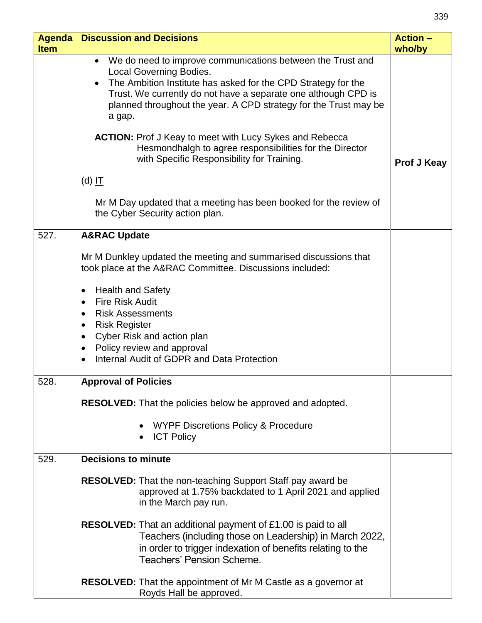| <b>Agenda</b><br><b>Item</b> | <b>Discussion and Decisions</b>                                                                                                                                                                                                                                                                                            | <b>Action -</b><br>who/by |
|------------------------------|----------------------------------------------------------------------------------------------------------------------------------------------------------------------------------------------------------------------------------------------------------------------------------------------------------------------------|---------------------------|
|                              | We do need to improve communications between the Trust and<br>$\bullet$<br><b>Local Governing Bodies.</b><br>The Ambition Institute has asked for the CPD Strategy for the<br>Trust. We currently do not have a separate one although CPD is<br>planned throughout the year. A CPD strategy for the Trust may be<br>a gap. |                           |
|                              | <b>ACTION:</b> Prof J Keay to meet with Lucy Sykes and Rebecca<br>Hesmondhalgh to agree responsibilities for the Director<br>with Specific Responsibility for Training.                                                                                                                                                    | <b>Prof J Keay</b>        |
|                              | $(d)$ $\overline{II}$                                                                                                                                                                                                                                                                                                      |                           |
|                              | Mr M Day updated that a meeting has been booked for the review of<br>the Cyber Security action plan.                                                                                                                                                                                                                       |                           |
| 527.                         | <b>A&amp;RAC Update</b>                                                                                                                                                                                                                                                                                                    |                           |
|                              | Mr M Dunkley updated the meeting and summarised discussions that<br>took place at the A&RAC Committee. Discussions included:                                                                                                                                                                                               |                           |
|                              | <b>Health and Safety</b><br>$\bullet$<br><b>Fire Risk Audit</b>                                                                                                                                                                                                                                                            |                           |
|                              | $\bullet$<br><b>Risk Assessments</b><br>$\bullet$                                                                                                                                                                                                                                                                          |                           |
|                              | <b>Risk Register</b><br>$\bullet$<br>Cyber Risk and action plan<br>$\bullet$                                                                                                                                                                                                                                               |                           |
|                              | Policy review and approval                                                                                                                                                                                                                                                                                                 |                           |
|                              | Internal Audit of GDPR and Data Protection                                                                                                                                                                                                                                                                                 |                           |
| 528                          | <b>Approval of Policies</b>                                                                                                                                                                                                                                                                                                |                           |
|                              | <b>RESOLVED:</b> That the policies below be approved and adopted.                                                                                                                                                                                                                                                          |                           |
|                              | • WYPF Discretions Policy & Procedure                                                                                                                                                                                                                                                                                      |                           |
|                              | <b>ICT Policy</b>                                                                                                                                                                                                                                                                                                          |                           |
| 529.                         | <b>Decisions to minute</b>                                                                                                                                                                                                                                                                                                 |                           |
|                              | <b>RESOLVED:</b> That the non-teaching Support Staff pay award be<br>approved at 1.75% backdated to 1 April 2021 and applied<br>in the March pay run.                                                                                                                                                                      |                           |
|                              | RESOLVED: That an additional payment of £1.00 is paid to all<br>Teachers (including those on Leadership) in March 2022,<br>in order to trigger indexation of benefits relating to the<br><b>Teachers' Pension Scheme.</b>                                                                                                  |                           |
|                              | <b>RESOLVED:</b> That the appointment of Mr M Castle as a governor at<br>Royds Hall be approved.                                                                                                                                                                                                                           |                           |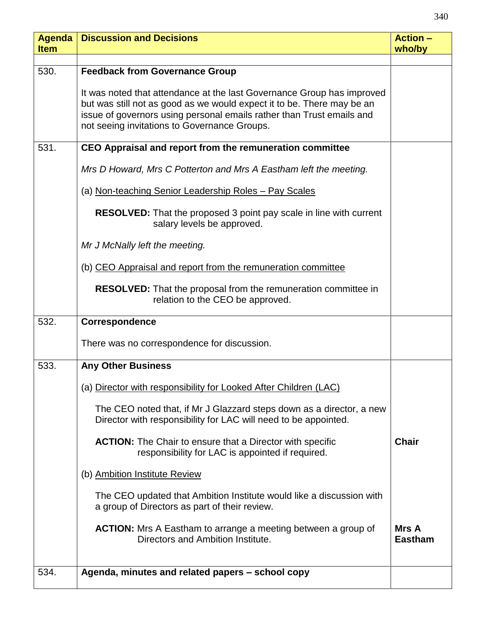| <b>Agenda</b><br><b>Item</b> | <b>Discussion and Decisions</b>                                                                                                                                                                                                                                           | <b>Action -</b><br>who/by |
|------------------------------|---------------------------------------------------------------------------------------------------------------------------------------------------------------------------------------------------------------------------------------------------------------------------|---------------------------|
|                              |                                                                                                                                                                                                                                                                           |                           |
| 530.                         | <b>Feedback from Governance Group</b>                                                                                                                                                                                                                                     |                           |
|                              | It was noted that attendance at the last Governance Group has improved<br>but was still not as good as we would expect it to be. There may be an<br>issue of governors using personal emails rather than Trust emails and<br>not seeing invitations to Governance Groups. |                           |
| 531.                         | CEO Appraisal and report from the remuneration committee                                                                                                                                                                                                                  |                           |
|                              | Mrs D Howard, Mrs C Potterton and Mrs A Eastham left the meeting.                                                                                                                                                                                                         |                           |
|                              | (a) Non-teaching Senior Leadership Roles - Pay Scales                                                                                                                                                                                                                     |                           |
|                              | RESOLVED: That the proposed 3 point pay scale in line with current<br>salary levels be approved.                                                                                                                                                                          |                           |
|                              | Mr J McNally left the meeting.                                                                                                                                                                                                                                            |                           |
|                              | (b) CEO Appraisal and report from the remuneration committee                                                                                                                                                                                                              |                           |
|                              | <b>RESOLVED:</b> That the proposal from the remuneration committee in<br>relation to the CEO be approved.                                                                                                                                                                 |                           |
| 532.                         | Correspondence                                                                                                                                                                                                                                                            |                           |
|                              | There was no correspondence for discussion.                                                                                                                                                                                                                               |                           |
| 533.                         | <b>Any Other Business</b>                                                                                                                                                                                                                                                 |                           |
|                              | (a) Director with responsibility for Looked After Children (LAC)                                                                                                                                                                                                          |                           |
|                              | The CEO noted that, if Mr J Glazzard steps down as a director, a new<br>Director with responsibility for LAC will need to be appointed.                                                                                                                                   |                           |
|                              | <b>ACTION:</b> The Chair to ensure that a Director with specific<br>responsibility for LAC is appointed if required.                                                                                                                                                      | <b>Chair</b>              |
|                              | (b) Ambition Institute Review                                                                                                                                                                                                                                             |                           |
|                              | The CEO updated that Ambition Institute would like a discussion with<br>a group of Directors as part of their review.                                                                                                                                                     |                           |
|                              | ACTION: Mrs A Eastham to arrange a meeting between a group of<br>Directors and Ambition Institute.                                                                                                                                                                        | Mrs A<br><b>Eastham</b>   |
| 534.                         | Agenda, minutes and related papers - school copy                                                                                                                                                                                                                          |                           |